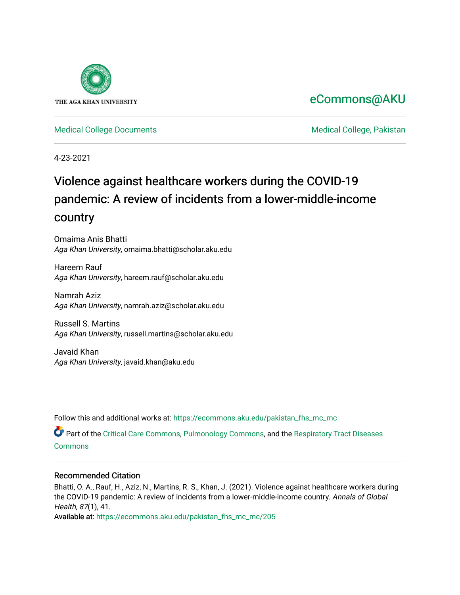

# [eCommons@AKU](https://ecommons.aku.edu/)

[Medical College Documents](https://ecommons.aku.edu/pakistan_fhs_mc_mc) **Medical College, Pakistan** 

4-23-2021

# Violence against healthcare workers during the COVID-19 pandemic: A review of incidents from a lower-middle-income country

Omaima Anis Bhatti Aga Khan University, omaima.bhatti@scholar.aku.edu

Hareem Rauf Aga Khan University, hareem.rauf@scholar.aku.edu

Namrah Aziz Aga Khan University, namrah.aziz@scholar.aku.edu

Russell S. Martins Aga Khan University, russell.martins@scholar.aku.edu

Javaid Khan Aga Khan University, javaid.khan@aku.edu

Follow this and additional works at: [https://ecommons.aku.edu/pakistan\\_fhs\\_mc\\_mc](https://ecommons.aku.edu/pakistan_fhs_mc_mc?utm_source=ecommons.aku.edu%2Fpakistan_fhs_mc_mc%2F205&utm_medium=PDF&utm_campaign=PDFCoverPages) 

Part of the [Critical Care Commons,](http://network.bepress.com/hgg/discipline/1226?utm_source=ecommons.aku.edu%2Fpakistan_fhs_mc_mc%2F205&utm_medium=PDF&utm_campaign=PDFCoverPages) [Pulmonology Commons](http://network.bepress.com/hgg/discipline/1363?utm_source=ecommons.aku.edu%2Fpakistan_fhs_mc_mc%2F205&utm_medium=PDF&utm_campaign=PDFCoverPages), and the [Respiratory Tract Diseases](http://network.bepress.com/hgg/discipline/990?utm_source=ecommons.aku.edu%2Fpakistan_fhs_mc_mc%2F205&utm_medium=PDF&utm_campaign=PDFCoverPages)  [Commons](http://network.bepress.com/hgg/discipline/990?utm_source=ecommons.aku.edu%2Fpakistan_fhs_mc_mc%2F205&utm_medium=PDF&utm_campaign=PDFCoverPages)

## Recommended Citation

Bhatti, O. A., Rauf, H., Aziz, N., Martins, R. S., Khan, J. (2021). Violence against healthcare workers during the COVID-19 pandemic: A review of incidents from a lower-middle-income country. Annals of Global Health, 87(1), 41.

Available at: [https://ecommons.aku.edu/pakistan\\_fhs\\_mc\\_mc/205](https://ecommons.aku.edu/pakistan_fhs_mc_mc/205)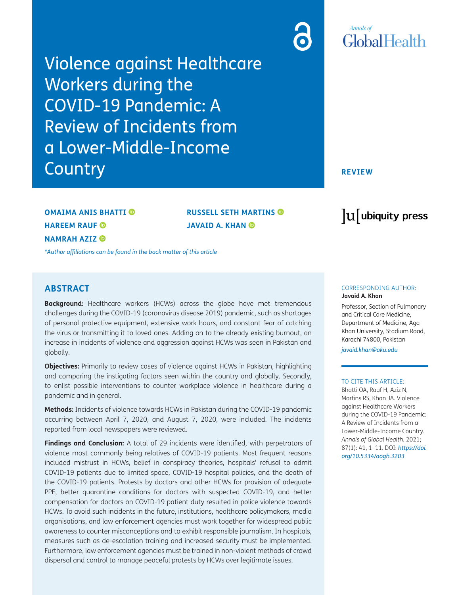Violence against Healthcare Workers during the COVID-19 Pandemic: A Review of Incidents from a Lower-Middle-Income **Country** 

# **Annals** of GlobalHealth

#### **REVIEW**

# **OMAIMA ANIS BHATTI HAREEM RAUF NAMRAH AZIZ**

**RUSSELL SETH MARTINS JAVAID A. KHAN** 

*[\\*Author affiliations can be found in the back matter of this article](#page-9-0)*

## **ABSTRACT**

**Background:** Healthcare workers (HCWs) across the globe have met tremendous challenges during the COVID-19 (coronavirus disease 2019) pandemic, such as shortages of personal protective equipment, extensive work hours, and constant fear of catching the virus or transmitting it to loved ones. Adding on to the already existing burnout, an increase in incidents of violence and aggression against HCWs was seen in Pakistan and globally.

**Objectives:** Primarily to review cases of violence against HCWs in Pakistan, highlighting and comparing the instigating factors seen within the country and globally. Secondly, to enlist possible interventions to counter workplace violence in healthcare during a pandemic and in general.

**Methods:** Incidents of violence towards HCWs in Pakistan during the COVID-19 pandemic occurring between April 7, 2020, and August 7, 2020, were included. The incidents reported from local newspapers were reviewed.

**Findings and Conclusion:** A total of 29 incidents were identified, with perpetrators of violence most commonly being relatives of COVID-19 patients. Most frequent reasons included mistrust in HCWs, belief in conspiracy theories, hospitals' refusal to admit COVID-19 patients due to limited space, COVID-19 hospital policies, and the death of the COVID-19 patients. Protests by doctors and other HCWs for provision of adequate PPE, better quarantine conditions for doctors with suspected COVID-19, and better compensation for doctors on COVID-19 patient duty resulted in police violence towards HCWs. To avoid such incidents in the future, institutions, healthcare policymakers, media organisations, and law enforcement agencies must work together for widespread public awareness to counter misconceptions and to exhibit responsible journalism. In hospitals, measures such as de-escalation training and increased security must be implemented. Furthermore, law enforcement agencies must be trained in non-violent methods of crowd dispersal and control to manage peaceful protests by HCWs over legitimate issues.

# lu ubiquity press

#### CORRESPONDING AUTHOR: **Javaid A. Khan**

Professor, Section of Pulmonary and Critical Care Medicine, Department of Medicine, Aga Khan University, Stadium Road, Karachi 74800, Pakistan

*[javaid.khan@aku.edu](mailto:javaid.khan@aku.edu)*

#### TO CITE THIS ARTICLE:

Bhatti OA, Rauf H, Aziz N, Martins RS, Khan JA. Violence against Healthcare Workers during the COVID-19 Pandemic: A Review of Incidents from a Lower-Middle-Income Country. *Annals of Global Health*. 2021; 87(1): 41, 1–11. DOI: *[https://doi.](https://doi.org/10.5334/aogh.3203) [org/10.5334/aogh.3203](https://doi.org/10.5334/aogh.3203)*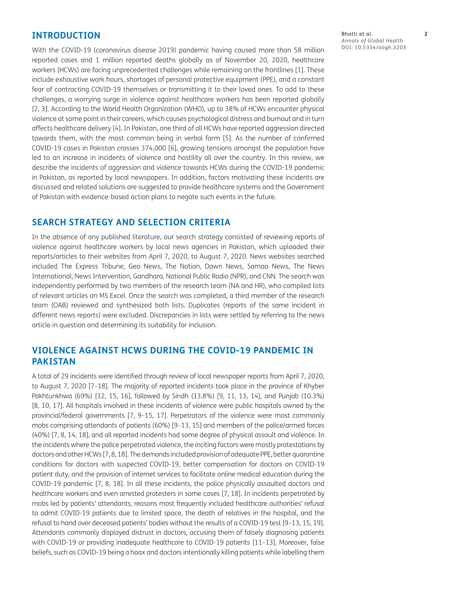### **INTRODUCTION**

With the COVID-19 (coronavirus disease 2019) pandemic having caused more than 58 million reported cases and 1 million reported deaths globally as of November 20, 2020, healthcare workers (HCWs) are facing unprecedented challenges while remaining on the frontlines [1]. These include exhaustive work hours, shortages of personal protective equipment (PPE), and a constant fear of contracting COVID-19 themselves or transmitting it to their loved ones. To add to these challenges, a worrying surge in violence against healthcare workers has been reported globally [2, 3]. According to the World Health Organization (WHO), up to 38% of HCWs encounter physical violence at some point in their careers, which causes psychological distress and burnout and in turn affects healthcare delivery [4]. In Pakistan, one third of all HCWs have reported aggression directed towards them, with the most common being in verbal form [5]. As the number of confirmed COVID-19 cases in Pakistan crosses 374,000 [6], growing tensions amongst the population have led to an increase in incidents of violence and hostility all over the country. In this review, we describe the incidents of aggression and violence towards HCWs during the COVID-19 pandemic in Pakistan, as reported by local newspapers. In addition, factors motivating these incidents are discussed and related solutions are suggested to provide healthcare systems and the Government of Pakistan with evidence-based action plans to negate such events in the future.

### **SEARCH STRATEGY AND SELECTION CRITERIA**

In the absence of any published literature, our search strategy consisted of reviewing reports of violence against healthcare workers by local news agencies in Pakistan, which uploaded their reports/articles to their websites from April 7, 2020, to August 7, 2020. News websites searched included The Express Tribune, Geo News, The Nation, Dawn News, Samaa News, The News International, News Intervention, Gandhara, National Public Radio (NPR), and CNN. The search was independently performed by two members of the research team (NA and HR), who compiled lists of relevant articles on MS Excel. Once the search was completed, a third member of the research team (OAB) reviewed and synthesized both lists. Duplicates (reports of the same incident in different news reports) were excluded. Discrepancies in lists were settled by referring to the news article in question and determining its suitability for inclusion.

## **VIOLENCE AGAINST HCWS DURING THE COVID-19 PANDEMIC IN PAKISTAN**

A total of 29 incidents were identified through review of local newspaper reports from April 7, 2020, to August 7, 2020 [7–18]. The majority of reported incidents took place in the province of Khyber Pakhtunkhwa (69%) [12, 15, 16], followed by Sindh (13.8%) [9, 11, 13, 14], and Punjab (10.3%) [8, 10, 17]. All hospitals involved in these incidents of violence were public hospitals owned by the provincial/federal governments [7, 9–15, 17]. Perpetrators of the violence were most commonly mobs comprising attendants of patients (60%) [9–13, 15] and members of the police/armed forces (40%) [7, 8, 14, 18], and all reported incidents had some degree of physical assault and violence. In the incidents where the police perpetrated violence, the inciting factors were mostly protestations by doctors and other HCWs [7, 8, 18]. The demands included provision of adequate PPE, better quarantine conditions for doctors with suspected COVID-19, better compensation for doctors on COVID-19 patient duty, and the provision of internet services to facilitate online medical education during the COVID-19 pandemic [7, 8, 18]. In all these incidents, the police physically assaulted doctors and healthcare workers and even arrested protesters in some cases [7, 18]. In incidents perpetrated by mobs led by patients' attendants, reasons most frequently included healthcare authorities' refusal to admit COVID-19 patients due to limited space, the death of relatives in the hospital, and the refusal to hand over deceased patients' bodies without the results of a COVID-19 test [9–13, 15, 19]. Attendants commonly displayed distrust in doctors, accusing them of falsely diagnosing patients with COVID-19 or providing inadequate healthcare to COVID-19 patients [11–13]. Moreover, false beliefs, such as COVID-19 being a hoax and doctors intentionally killing patients while labelling them

Bhatti et al. **2** *Annals of Global Health* DOI: [10.5334/aogh.3203](https://doi.org/10.5334/aogh.3203)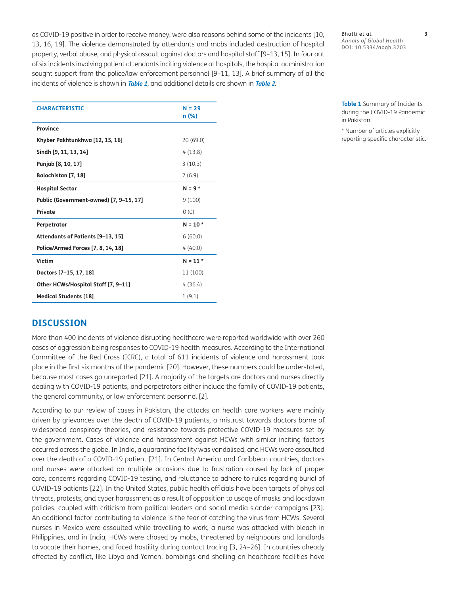as COVID-19 positive in order to receive money, were also reasons behind some of the incidents [10, 13, 16, 19]. The violence demonstrated by attendants and mobs included destruction of hospital property, verbal abuse, and physical assault against doctors and hospital staff [9–13, 15]. In four out of six incidents involving patient attendants inciting violence at hospitals, the hospital administration sought support from the police/law enforcement personnel [9–11, 13]. A brief summary of all the incidents of violence is shown in **[Table 1](#page-3-0)**, and additional details are shown in **[Table 2](#page-4-0)**.

| <b>CHARACTERISTIC</b>                   | $N = 29$<br>n (%) |
|-----------------------------------------|-------------------|
| Province                                |                   |
| Khyber Pakhtunkhwa [12, 15, 16]         | 20 (69.0)         |
| Sindh [9, 11, 13, 14]                   | 4(13.8)           |
| Punjab [8, 10, 17]                      | 3(10.3)           |
| Balochistan [7, 18]                     | 2(6.9)            |
| <b>Hospital Sector</b>                  | $N = 9*$          |
| Public (Government-owned) [7, 9-15, 17] | 9(100)            |
| Private                                 | 0(0)              |
| Perpetrator                             | $N = 10*$         |
| Attendants of Patients [9-13, 15]       | 6(60.0)           |
| Police/Armed Forces [7, 8, 14, 18]      | 4(40.0)           |
| <b>Victim</b>                           | $N = 11*$         |
| Doctors [7-15, 17, 18]                  | 11 (100)          |
| Other HCWs/Hospital Staff [7, 9-11]     | 4(36.4)           |
| <b>Medical Students [18]</b>            | 1(9.1)            |

Bhatti et al. **3** *Annals of Global Health* DOI: 10.5334/aogh.3203

<span id="page-3-0"></span>**Table 1** Summary of Incidents during the COVID-19 Pandemic in Pakistan.

\* Number of articles explicitly reporting specific characteristic.

## **DISCUSSION**

More than 400 incidents of violence disrupting healthcare were reported worldwide with over 260 cases of aggression being responses to COVID-19 health measures. According to the International Committee of the Red Cross (ICRC), a total of 611 incidents of violence and harassment took place in the first six months of the pandemic [20]. However, these numbers could be understated, because most cases go unreported [21]. A majority of the targets are doctors and nurses directly dealing with COVID-19 patients, and perpetrators either include the family of COVID-19 patients, the general community, or law enforcement personnel [2].

According to our review of cases in Pakistan, the attacks on health care workers were mainly driven by grievances over the death of COVID-19 patients, a mistrust towards doctors borne of widespread conspiracy theories, and resistance towards protective COVID-19 measures set by the government. Cases of violence and harassment against HCWs with similar inciting factors occurred across the globe. In India, a quarantine facility was vandalised, and HCWs were assaulted over the death of a COVID-19 patient [21]. In Central America and Caribbean countries, doctors and nurses were attacked on multiple occasions due to frustration caused by lack of proper care, concerns regarding COVID-19 testing, and reluctance to adhere to rules regarding burial of COVID-19 patients [22]. In the United States, public health officials have been targets of physical threats, protests, and cyber harassment as a result of opposition to usage of masks and lockdown policies, coupled with criticism from political leaders and social media slander campaigns [23]. An additional factor contributing to violence is the fear of catching the virus from HCWs. Several nurses in Mexico were assaulted while travelling to work, a nurse was attacked with bleach in Philippines, and in India, HCWs were chased by mobs, threatened by neighbours and landlords to vacate their homes, and faced hostility during contact tracing [3, 24–26]. In countries already affected by conflict, like Libya and Yemen, bombings and shelling on healthcare facilities have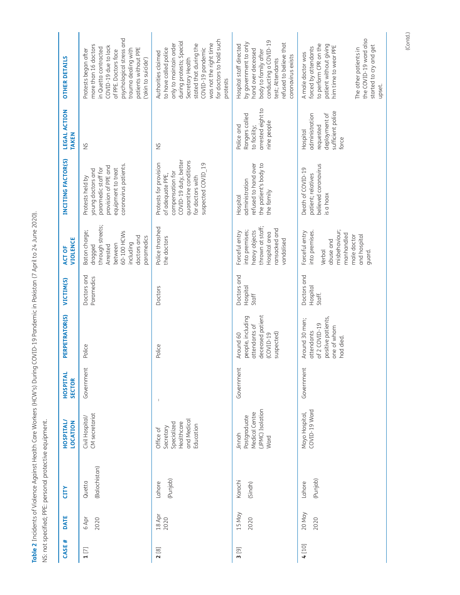<span id="page-4-0"></span>Table 2 Incidents of Violence Against Health Care Workers (HCW's) During COVID-19 Pandemic in Pakistan (7 April to 24 June 2020). **Table 2** Incidents of Violence Against Health Care Workers (HCW's) During COVID-19 Pandemic in Pakistan (7 April to 24 June 2020). NS: not specified; PPE: personal protective equipment. NS: not specified; PPE: personal protective equipment.

| DATE           | <b>CITY</b>             | <b>HOSPITAL/</b><br>LOCATION                                                    | HOSPITAL<br><b>SECTOR</b> | PERPETRATOR(S)                                                                                         | VICTIM(S)                         | <b>VIOLENCE</b><br>ACT OF                                                                                                       | INCITING FACTOR(S)                                                                                                                                         | LEGAL ACTION<br><b>TAKEN</b>                                                           | <b>OTHER DETAILS</b>                                                                                                                                                                                                                    |
|----------------|-------------------------|---------------------------------------------------------------------------------|---------------------------|--------------------------------------------------------------------------------------------------------|-----------------------------------|---------------------------------------------------------------------------------------------------------------------------------|------------------------------------------------------------------------------------------------------------------------------------------------------------|----------------------------------------------------------------------------------------|-----------------------------------------------------------------------------------------------------------------------------------------------------------------------------------------------------------------------------------------|
|                | (Balochistan)<br>Quetta | CM secretariat<br>Civil Hospital/                                               | Government                | Police                                                                                                 | Doctors and<br>Paramedics         | through streets;<br>Baton charge;<br>60-100 HCWs<br>doctors and<br>paramedics<br>including<br>between<br>dragged<br>Arrested    | coronavirus patients.<br>provision of PPE and<br>paramedic staff for<br>equipment to treat<br>young doctors and<br>Protests held by                        | $\frac{5}{2}$                                                                          | psychological stress and<br>more than 16 doctors<br>COVID-19 due to lack<br>in Quetta contracted<br>patients without PPE<br>trauma dealing with<br>Protests began after<br>of PPE. Doctors face<br>('akin to suicide')                  |
| 18 Apr<br>2020 | (Punjab)<br>Lahore      | and Medical<br>Healthcare<br>Specialized<br>Education<br>Secretary<br>Office of | $\mathbb{I}$              | Police                                                                                                 | Doctors                           | Police thrashed<br>the doctors                                                                                                  | COVID-19 duty, better<br>quarantine conditions<br>suspected COVID 19<br>Protests for provision<br>compensation for<br>of adequate PPE,<br>for doctors with | $\frac{5}{2}$                                                                          | for doctors to hold such<br>during protests; Special<br>was not the right time<br>only to maintain order<br>stated that during the<br>to have called police<br>COVID-19 pandemic<br>Authorities claimed<br>Secretary Health<br>protests |
| 15 May<br>2020 | Karachi<br>(Sindh)      | JPMC) Isolation<br>Medical Centre<br>Postgraduate<br>Jinnah<br>Ward             | Government                | deceased patient<br>people, including<br>attendants of<br>suspected)<br>Around 60<br>$(COVID-19)$      | Doctors and<br>Hospital<br>Staff  | thrown at staff;<br>ransacked and<br>heavy objects<br>into premises;<br>Forceful entry<br>Hospital area<br>vandalised           | refused to hand over<br>the patient's body to<br>administration<br>the family<br>Hospital                                                                  | arrested eight to<br>Rangers called<br>nine people<br>to facility;<br>Police and       | conducting a COVID-19<br>by government to only<br>refused to believe that<br>Hospital staff directed<br>hand over deceased<br>body to family after<br>coronavirus exists<br>test; Attendants                                            |
| 20 May<br>2020 | (Punjab)<br>Lahore      | COVID-19 Ward<br>Mayo Hospital,                                                 | Government                | positive patients,<br>Around 30 men;<br>of 2 COVID-19<br>one of whom<br><b>attendants</b><br>had died. | Doctors and<br>Hospital<br>Staff. | misbehaviour;<br>Forceful entry<br>into premises.<br>manhandled<br>male doctor<br>and hospital<br>abuse and<br>Verbal<br>guard. | believed coronavirus<br>Death of COVID-19<br>patient; relatives<br>is a hoax                                                                               | sufficient police<br>deployment of<br>administration<br>requested<br>Hospital<br>force | the COVID-19 ward also<br>to perform CPR on the<br>patient without giving<br>started to cry and get<br>him time to wear PPE<br>forced by attendants<br>The other patients in<br>A male doctor was<br>upset.                             |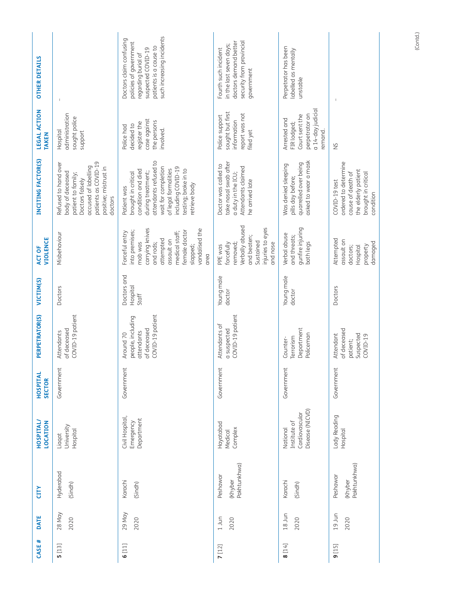| <b>OTHER DETAILS</b>         |                                                                                                                                                                       | such increasing incidents<br>Doctors claim confusing<br>policies of government<br>patients is a cause to<br>suspected COVID-19<br>regarding burial of                                                                | security from provincial<br>doctors demand better<br>in the last seven days;<br>Fourth such incident<br>government | Perpetrator has been<br>labelled as mentally<br>unstable                                        |                                                                                                                       |
|------------------------------|-----------------------------------------------------------------------------------------------------------------------------------------------------------------------|----------------------------------------------------------------------------------------------------------------------------------------------------------------------------------------------------------------------|--------------------------------------------------------------------------------------------------------------------|-------------------------------------------------------------------------------------------------|-----------------------------------------------------------------------------------------------------------------------|
| LEGAL ACTION<br><b>TAKEN</b> | administration<br>sought police<br>Hospital<br>support                                                                                                                | case against<br>the persons<br>register the<br>decided to<br>Police had<br>involved.                                                                                                                                 | sought but first<br>report was not<br>Police support<br>information<br>filed yet                                   | a 14-day judicial<br>perpetrator on<br>Court sent the<br>Arrested and<br>FIR lodged;<br>remand. | $\geq$                                                                                                                |
| INCITING FACTOR(S)           | patients as COVID-19<br>Refused to hand over<br>accused of labelling<br>positive; mistrust in<br>body of deceased<br>patient to family;<br>Doctors falsely<br>doctors | attendants refused to<br>wait for completion<br>including COVID-19<br>of legal formalities<br>testing; broke in to<br>condition and died<br>during treatment;<br>brought in critical<br>retrieve body<br>Patient was | take nasal swab after<br>Doctor was called to<br>Attendants claimed<br>a duty in the ICU;<br>he arrived late       | asked to wear a mask<br>quarrelled over being<br>Was denied sleeping<br>pills day before;       | ordered to determine<br>the elderly patient<br>brought in critical<br>cause of death of<br>COVID-19 test<br>condition |
| <b>VIOLENCE</b><br>ACT OF    | Misbehaviour                                                                                                                                                          | carrying knives<br>vandalised the<br>female doctor<br>into premises;<br>Forceful entry<br>medical staff;<br>attempted<br>assault on<br>mob was<br>and rods;<br>slapped;<br>area                                      | Verbally abused<br>injuries to eyes<br>and beaten;<br>Sustained<br>and nose<br>forcefully<br>removed;<br>PPE was   | gunfire injuring<br>Verbal abuse<br>and threats;<br>both legs                                   | Attempted<br>assault on<br>damaged<br>Hospital<br>property<br>doctors;                                                |
| VICTIM(S)                    | Doctors                                                                                                                                                               | Doctors and<br>Hospital<br>Staff                                                                                                                                                                                     | Young male<br>doctor                                                                                               | Young male<br>doctor                                                                            | Doctors                                                                                                               |
| <b>PETRATOR(S)</b><br>ER     | COVID-19 patient<br>of deceased<br>Attendants                                                                                                                         | COVID-19 patient<br>people, including<br>of deceased<br>attendants<br>Around 70                                                                                                                                      | COVID-19 patient<br>Attendants of<br>a suspected                                                                   | Department<br>Policeman<br>Terrorism<br>Counter-                                                | of deceased<br>Attendant<br>Suspected<br>$COVID-19$<br>patient;                                                       |
| HOSPITAL<br><b>SECTOR</b>    | Government                                                                                                                                                            | Government                                                                                                                                                                                                           | Government                                                                                                         | Government                                                                                      | Government                                                                                                            |
| <b>HOSPITAL/</b><br>LOCATION | University<br><b>Hospital</b><br>Liaqat                                                                                                                               | Civil Hospital,<br>Department<br>Emergency                                                                                                                                                                           | Hayatabad<br>Complex<br>Medical                                                                                    | Disease (NICVD)<br>Cardiovascular<br>Institute of<br>National                                   | Lady Reading<br>Hospital                                                                                              |
| <b>CITY</b>                  | Hyderabad<br>(Sindh)                                                                                                                                                  | Karachi<br>(Sindh)                                                                                                                                                                                                   | Pakhtunkhwa)<br>Peshawar<br>(Khyber                                                                                | Karachi<br>(Sindh)                                                                              | Pakhtunkhwa)<br>Peshawar<br>(Khyber                                                                                   |
| DATE                         | 28 May<br>2020                                                                                                                                                        | 29 May<br>2020                                                                                                                                                                                                       | $1$ Jun<br>2020                                                                                                    | $18 \text{ Jun}$<br>2020                                                                        | 19 Jun<br>2020                                                                                                        |
| CASE #                       | 5[13]                                                                                                                                                                 | 6[11]                                                                                                                                                                                                                | 7[12]                                                                                                              | 8[14]                                                                                           | 9[15]                                                                                                                 |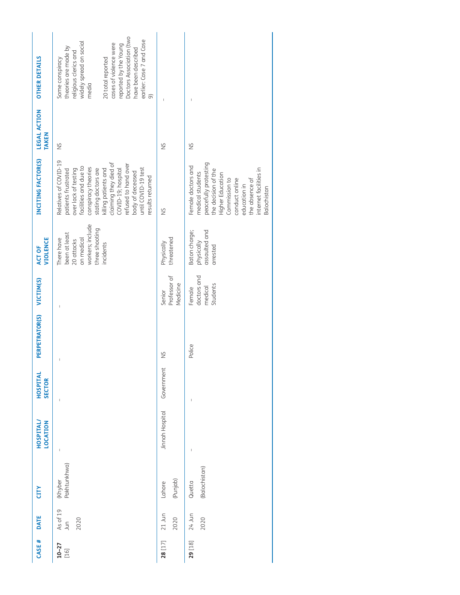| <b>OTHER DETAILS</b>         | Doctors Association (two<br>earlier: Case 7 and Case<br>widely spread on social<br>cases of violence were<br>reported by the Young<br>theories are made by<br>have been described<br>religious clerics and<br>Some conspiracy<br>20 total reported<br>media<br>$\widehat{\sigma}$                                                                                                |                                    |                                                                                                                                                                                                                          |
|------------------------------|----------------------------------------------------------------------------------------------------------------------------------------------------------------------------------------------------------------------------------------------------------------------------------------------------------------------------------------------------------------------------------|------------------------------------|--------------------------------------------------------------------------------------------------------------------------------------------------------------------------------------------------------------------------|
| LEGAL ACTION<br><b>TAKEN</b> | $\frac{5}{2}$                                                                                                                                                                                                                                                                                                                                                                    | $\frac{5}{2}$                      | $\frac{5}{2}$                                                                                                                                                                                                            |
| INCITING FACTOR(S)           | Relatives of COVID-19<br>claiming they died of<br>refused to hand over<br>facilities and due to<br>conspiracy theories<br>until COVID-19 test<br>over lack of testing<br>stating doctors are<br>killing patients and<br>COVID-19; hospital<br>patients frustrated<br>body of deceased<br>results returned                                                                        | $\frac{5}{2}$                      | peacefully protesting<br>Female doctors and<br>internet facilities in<br>the decision of the<br>medical students<br>Higher Education<br>Commission to<br>conduct online<br>the absence of<br>education in<br>Balochistan |
| <b>VIOLENCE</b><br>ACT OF    | workers; include<br>three shooting<br>been at least<br>on medical<br>There have<br>20 attacks<br>incidents                                                                                                                                                                                                                                                                       | threatened<br>Physically           | assaulted and<br>Baton charge;<br>physically<br>arrested                                                                                                                                                                 |
|                              |                                                                                                                                                                                                                                                                                                                                                                                  | Professor of<br>Medicine<br>Senior | doctors and<br>Students<br>medical<br>Female                                                                                                                                                                             |
| PERPETRATOR(S) VICTIM(S)     |                                                                                                                                                                                                                                                                                                                                                                                  | $\frac{5}{2}$                      | Police                                                                                                                                                                                                                   |
| HOSPITAL<br><b>SECTOR</b>    | $\begin{array}{c} \rule{0pt}{2.5ex} \rule{0pt}{2.5ex} \rule{0pt}{2.5ex} \rule{0pt}{2.5ex} \rule{0pt}{2.5ex} \rule{0pt}{2.5ex} \rule{0pt}{2.5ex} \rule{0pt}{2.5ex} \rule{0pt}{2.5ex} \rule{0pt}{2.5ex} \rule{0pt}{2.5ex} \rule{0pt}{2.5ex} \rule{0pt}{2.5ex} \rule{0pt}{2.5ex} \rule{0pt}{2.5ex} \rule{0pt}{2.5ex} \rule{0pt}{2.5ex} \rule{0pt}{2.5ex} \rule{0pt}{2.5ex} \rule{0$ | Government                         |                                                                                                                                                                                                                          |
| HOSPITAL<br>LOCATION         | $\mathbf{I}$                                                                                                                                                                                                                                                                                                                                                                     | Jinnah Hospital                    |                                                                                                                                                                                                                          |
| CITY                         | Pakhtunkhwa)<br>(Khyber                                                                                                                                                                                                                                                                                                                                                          | (Punjab)<br>Lahore                 | (Balochistan)<br>Quetta                                                                                                                                                                                                  |
| DATE                         | As of 19<br>Jun<br>2020                                                                                                                                                                                                                                                                                                                                                          | $21$ Jun<br>2020                   | 24 Jun<br>2020                                                                                                                                                                                                           |
| CASE #                       | $10 - 27$<br>$[16]$                                                                                                                                                                                                                                                                                                                                                              | 28 [17]                            | 29 [18]                                                                                                                                                                                                                  |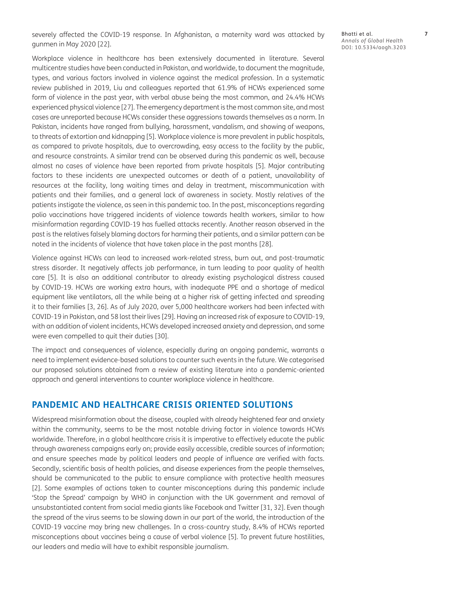severely affected the COVID-19 response. In Afghanistan, a maternity ward was attacked by gunmen in May 2020 [22].

Workplace violence in healthcare has been extensively documented in literature. Several multicentre studies have been conducted in Pakistan, and worldwide, to document the magnitude, types, and various factors involved in violence against the medical profession. In a systematic review published in 2019, Liu and colleagues reported that 61.9% of HCWs experienced some form of violence in the past year, with verbal abuse being the most common, and 24.4% HCWs experienced physical violence [27]. The emergency department is the most common site, and most cases are unreported because HCWs consider these aggressions towards themselves as a norm. In Pakistan, incidents have ranged from bullying, harassment, vandalism, and showing of weapons, to threats of extortion and kidnapping [5]. Workplace violence is more prevalent in public hospitals, as compared to private hospitals, due to overcrowding, easy access to the facility by the public, and resource constraints. A similar trend can be observed during this pandemic as well, because almost no cases of violence have been reported from private hospitals [5]. Major contributing factors to these incidents are unexpected outcomes or death of a patient, unavailability of resources at the facility, long waiting times and delay in treatment, miscommunication with patients and their families, and a general lack of awareness in society. Mostly relatives of the patients instigate the violence, as seen in this pandemic too. In the past, misconceptions regarding polio vaccinations have triggered incidents of violence towards health workers, similar to how misinformation regarding COVID-19 has fuelled attacks recently. Another reason observed in the past is the relatives falsely blaming doctors for harming their patients, and a similar pattern can be noted in the incidents of violence that have taken place in the past months [28].

Violence against HCWs can lead to increased work-related stress, burn out, and post-traumatic stress disorder. It negatively affects job performance, in turn leading to poor quality of health care [5]. It is also an additional contributor to already existing psychological distress caused by COVID-19. HCWs are working extra hours, with inadequate PPE and a shortage of medical equipment like ventilators, all the while being at a higher risk of getting infected and spreading it to their families [3, 26]. As of July 2020, over 5,000 healthcare workers had been infected with COVID-19 in Pakistan, and 58 lost their lives [29]. Having an increased risk of exposure to COVID-19, with an addition of violent incidents, HCWs developed increased anxiety and depression, and some were even compelled to quit their duties [30].

The impact and consequences of violence, especially during an ongoing pandemic, warrants a need to implement evidence-based solutions to counter such events in the future. We categorised our proposed solutions obtained from a review of existing literature into a pandemic-oriented approach and general interventions to counter workplace violence in healthcare.

### **PANDEMIC AND HEALTHCARE CRISIS ORIENTED SOLUTIONS**

Widespread misinformation about the disease, coupled with already heightened fear and anxiety within the community, seems to be the most notable driving factor in violence towards HCWs worldwide. Therefore, in a global healthcare crisis it is imperative to effectively educate the public through awareness campaigns early on; provide easily accessible, credible sources of information; and ensure speeches made by political leaders and people of influence are verified with facts. Secondly, scientific basis of health policies, and disease experiences from the people themselves, should be communicated to the public to ensure compliance with protective health measures [2]. Some examples of actions taken to counter misconceptions during this pandemic include 'Stop the Spread' campaign by WHO in conjunction with the UK government and removal of unsubstantiated content from social media giants like Facebook and Twitter [31, 32]. Even though the spread of the virus seems to be slowing down in our part of the world, the introduction of the COVID-19 vaccine may bring new challenges. In a cross-country study, 8.4% of HCWs reported misconceptions about vaccines being a cause of verbal violence [5]. To prevent future hostilities, our leaders and media will have to exhibit responsible journalism.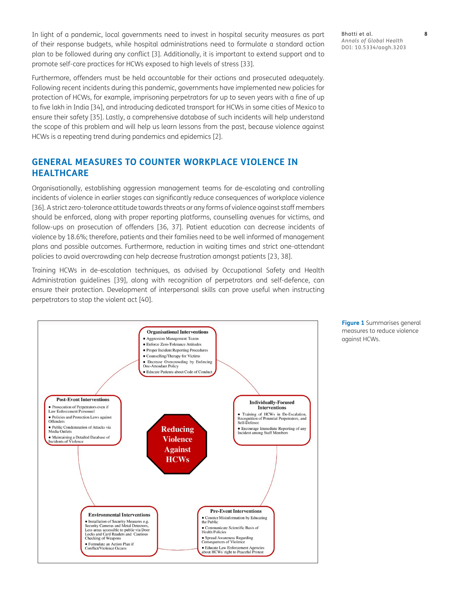In light of a pandemic, local governments need to invest in hospital security measures as part of their response budgets, while hospital administrations need to formulate a standard action plan to be followed during any conflict [3]. Additionally, it is important to extend support and to promote self-care practices for HCWs exposed to high levels of stress [33].

Furthermore, offenders must be held accountable for their actions and prosecuted adequately. Following recent incidents during this pandemic, governments have implemented new policies for protection of HCWs, for example, imprisoning perpetrators for up to seven years with a fine of up to five lakh in India [34], and introducing dedicated transport for HCWs in some cities of Mexico to ensure their safety [35]. Lastly, a comprehensive database of such incidents will help understand the scope of this problem and will help us learn lessons from the past, because violence against HCWs is a repeating trend during pandemics and epidemics [2].

# **GENERAL MEASURES TO COUNTER WORKPLACE VIOLENCE IN HEALTHCARE**

Organisationally, establishing aggression management teams for de-escalating and controlling incidents of violence in earlier stages can significantly reduce consequences of workplace violence [36]. A strict zero-tolerance attitude towards threats or any forms of violence against staff members should be enforced, along with proper reporting platforms, counselling avenues for victims, and follow-ups on prosecution of offenders [36, 37]. Patient education can decrease incidents of violence by 18.6%; therefore, patients and their families need to be well informed of management plans and possible outcomes. Furthermore, reduction in waiting times and strict one-attendant policies to avoid overcrowding can help decrease frustration amongst patients [23, 38].

Training HCWs in de-escalation techniques, as advised by Occupational Safety and Health Administration guidelines [39], along with recognition of perpetrators and self-defence, can ensure their protection. Development of interpersonal skills can prove useful when instructing perpetrators to stop the violent act [40].



Bhatti et al. **8** *Annals of Global Health* DOI: 10.5334/aogh.3203

**Figure 1** Summarises general measures to reduce violence against HCWs.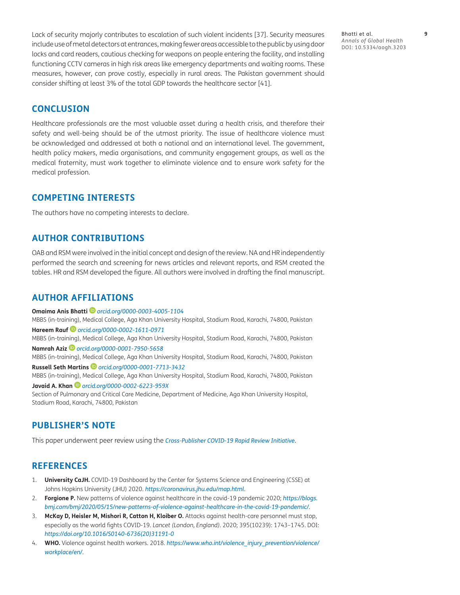Lack of security majorly contributes to escalation of such violent incidents [37]. Security measures include use of metal detectors at entrances, making fewer areas accessible to the public by using door locks and card readers, cautious checking for weapons on people entering the facility, and installing functioning CCTV cameras in high risk areas like emergency departments and waiting rooms. These measures, however, can prove costly, especially in rural areas. The Pakistan government should consider shifting at least 3% of the total GDP towards the healthcare sector [41].

Bhatti et al. **9** *Annals of Global Health* DOI: 10.5334/aogh.3203

### **CONCLUSION**

Healthcare professionals are the most valuable asset during a health crisis, and therefore their safety and well-being should be of the utmost priority. The issue of healthcare violence must be acknowledged and addressed at both a national and an international level. The government, health policy makers, media organisations, and community engagement groups, as well as the medical fraternity, must work together to eliminate violence and to ensure work safety for the medical profession.

## **COMPETING INTERESTS**

The authors have no competing interests to declare.

#### **AUTHOR CONTRIBUTIONS**

OAB and RSM were involved in the initial concept and design of the review. NA and HR independently performed the search and screening for news articles and relevant reports, and RSM created the tables. HR and RSM developed the figure. All authors were involved in drafting the final manuscript.

### <span id="page-9-0"></span>**AUTHOR AFFILIATIONS**

#### **Omaima Anis Bhatti** *[orcid.org/0000-0003-4005-1104](https://orcid.org/0000-0003-4005-1104)*

MBBS (in-training), Medical College, Aga Khan University Hospital, Stadium Road, Karachi, 74800, Pakistan

#### **Hareem Rauf** *[orcid.org/0000-0002-1611-0971](https://orcid.org/0000-0002-1611-0971)*

MBBS (in-training), Medical College, Aga Khan University Hospital, Stadium Road, Karachi, 74800, Pakistan **Namrah Aziz** *[orcid.org/0000-0001-7950-5658](https://orcid.org/0000-0001-7950-5658)*

MBBS (in-training), Medical College, Aga Khan University Hospital, Stadium Road, Karachi, 74800, Pakistan

**Russell Seth Martins** *[orcid.org/0000-0001-7713-3432](https://orcid.org/0000-0001-7713-3432)* MBBS (in-training), Medical College, Aga Khan University Hospital, Stadium Road, Karachi, 74800, Pakistan

**Javaid A. Khan** *[orcid.org/0000-0002-6223-959X](https://orcid.org/0000-0002-6223-959X)* Section of Pulmonary and Critical Care Medicine, Department of Medicine, Aga Khan University Hospital, Stadium Road, Karachi, 74800, Pakistan

## **PUBLISHER'S NOTE**

This paper underwent peer review using the *[Cross-Publisher COVID-19 Rapid Review Initiative](https://oaspa.org/scholarly-publishers-working-together-during-covid-19-pandemic/)*.

## **REFERENCES**

- 1. **University CaJH.** COVID-19 Dashboard by the Center for Systems Science and Engineering (CSSE) at Johns Hopkins University (JHU) 2020. *<https://coronavirus.jhu.edu/map.html>*.
- 2. **Forgione P.** New patterns of violence against healthcare in the covid-19 pandemic 2020; *[https://blogs.](https://blogs.bmj.com/bmj/2020/05/15/new-patterns-of-violence-against-healthcare-in-the-covid-19-pandemic/) [bmj.com/bmj/2020/05/15/new-patterns-of-violence-against-healthcare-in-the-covid-19-pandemic/](https://blogs.bmj.com/bmj/2020/05/15/new-patterns-of-violence-against-healthcare-in-the-covid-19-pandemic/)*.
- 3. **McKay D, Heisler M, Mishori R, Catton H, Kloiber O.** Attacks against health-care personnel must stop, especially as the world fights COVID-19. *Lancet (London, England)*. 2020; 395(10239): 1743–1745. DOI: *[https://doi.org/10.1016/S0140-6736\(20\)31191-0](https://doi.org/10.1016/S0140-6736(20)31191-0)*
- 4. **WHO.** Violence against health workers. 2018. [https://www.who.int/violence\\_injury\\_prevention/violence/](https://www.who.int/violence_injury_prevention/violence/workplace/en/) *[workplace/en/](https://www.who.int/violence_injury_prevention/violence/workplace/en/)*.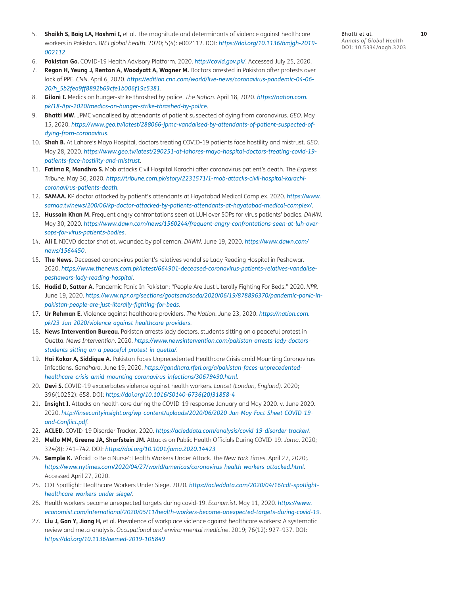- 5. **Shaikh S, Baig LA, Hashmi I,** et al. The magnitude and determinants of violence against healthcare workers in Pakistan. *BMJ global health.* 2020; 5(4): e002112. DOI: *[https://doi.org/10.1136/bmjgh-2019-](https://doi.org/10.1136/bmjgh-2019-002112) [002112](https://doi.org/10.1136/bmjgh-2019-002112)*
- 6. **Pakistan Go.** COVID-19 Health Advisory Platform. 2020. *<http://covid.gov.pk/>*. Accessed July 25, 2020.
- 7. **Regan H, Yeung J, Renton A, Woodyatt A, Wagner M.** Doctors arrested in Pakistan after protests over lack of PPE. *CNN*. April 6, 2020. *[https://edition.cnn.com/world/live-news/coronavirus-pandemic-04-06-](https://edition.cnn.com/world/live-news/coronavirus-pandemic-04-06-20/h_5b2fea9ff8892b69cfe1b006f19c5381) [20/h\\_5b2fea9ff8892b69cfe1b006f19c5381](https://edition.cnn.com/world/live-news/coronavirus-pandemic-04-06-20/h_5b2fea9ff8892b69cfe1b006f19c5381)*.
- 8. **Gilani I.** Medics on hunger-strike thrashed by police. *The Nation*. April 18, 2020. *[https://nation.com.](https://nation.com.pk/18-Apr-2020/medics-on-hunger-strike-thrashed-by-police) [pk/18-Apr-2020/medics-on-hunger-strike-thrashed-by-police](https://nation.com.pk/18-Apr-2020/medics-on-hunger-strike-thrashed-by-police)*.
- 9. **Bhatti MW.** JPMC vandalised by attendants of patient suspected of dying from coronavirus. *GEO*. May 15, 2020. *[https://www.geo.tv/latest/288066-jpmc-vandalised-by-attendants-of-patient-suspected-of](https://www.geo.tv/latest/288066-jpmc-vandalised-by-attendants-of-patient-suspected-of-dying-from-coronavirus)[dying-from-coronavirus](https://www.geo.tv/latest/288066-jpmc-vandalised-by-attendants-of-patient-suspected-of-dying-from-coronavirus)*.
- 10. **Shah B.** At Lahore's Mayo Hospital, doctors treating COVID-19 patients face hostility and mistrust. *GEO*. May 28, 2020. *[https://www.geo.tv/latest/290251-at-lahores-mayo-hospital-doctors-treating-covid-19](https://www.geo.tv/latest/290251-at-lahores-mayo-hospital-doctors-treating-covid-19-patients-face-hostility-and-mistrust) [patients-face-hostility-and-mistrust](https://www.geo.tv/latest/290251-at-lahores-mayo-hospital-doctors-treating-covid-19-patients-face-hostility-and-mistrust)*.
- 11. **Fatima R, Mandhro S.** Mob attacks Civil Hospital Karachi after coronavirus patient's death. *The Express Tribune*. May 30, 2020. *[https://tribune.com.pk/story/2231571/1-mob-attacks-civil-hospital-karachi](https://tribune.com.pk/story/2231571/1-mob-attacks-civil-hospital-karachi-coronavirus-patients-death)[coronavirus-patients-death](https://tribune.com.pk/story/2231571/1-mob-attacks-civil-hospital-karachi-coronavirus-patients-death)*.
- 12. **SAMAA.** KP doctor attacked by patient's attendants at Hayatabad Medical Complex. 2020. *[https://www.](https://www.samaa.tv/news/200/06/kp-doctor-attacked-by-patients-attendants-at-hayatabad-medical-complex/) [samaa.tv/news/200/06/kp-doctor-attacked-by-patients-attendants-at-hayatabad-medical-complex/](https://www.samaa.tv/news/200/06/kp-doctor-attacked-by-patients-attendants-at-hayatabad-medical-complex/)*.
- 13. **Hussain Khan M.** Frequent angry confrontations seen at LUH over SOPs for virus patients' bodies. *DAWN*. May 30, 2020. *[https://www.dawn.com/news/1560244/frequent-angry-confrontations-seen-at-luh-over](https://www.dawn.com/news/1560244/frequent-angry-confrontations-seen-at-luh-over-sops-for-virus-patients-bodies)[sops-for-virus-patients-bodies](https://www.dawn.com/news/1560244/frequent-angry-confrontations-seen-at-luh-over-sops-for-virus-patients-bodies)*.
- 14. **Ali I.** NICVD doctor shot at, wounded by policeman. *DAWN*. June 19, 2020. *[https://www.dawn.com/](https://www.dawn.com/news/1564450) [news/1564450](https://www.dawn.com/news/1564450)*.
- 15. **The News.** Deceased coronavirus patient's relatives vandalise Lady Reading Hospital in Peshawar. 2020. *[https://www.thenews.com.pk/latest/664901-deceased-coronavirus-patients-relatives-vandalise](https://www.thenews.com.pk/latest/664901-deceased-coronavirus-patients-relatives-vandalise-peshawars-lady-reading-hospital)[peshawars-lady-reading-hospital](https://www.thenews.com.pk/latest/664901-deceased-coronavirus-patients-relatives-vandalise-peshawars-lady-reading-hospital)*.
- 16. **Hadid D, Sattar A.** Pandemic Panic In Pakistan: "People Are Just Literally Fighting For Beds." 2020. *NPR*. June 19, 2020. *[https://www.npr.org/sections/goatsandsoda/2020/06/19/878896370/pandemic-panic-in](https://www.npr.org/sections/goatsandsoda/2020/06/19/878896370/pandemic-panic-in-pakistan-people-are-just-literally-fighting-for-beds)[pakistan-people-are-just-literally-fighting-for-beds](https://www.npr.org/sections/goatsandsoda/2020/06/19/878896370/pandemic-panic-in-pakistan-people-are-just-literally-fighting-for-beds)*.
- 17. **Ur Rehman E.** Violence against healthcare providers. *The Nation*. June 23, 2020. *[https://nation.com.](https://nation.com.pk/23-Jun-2020/violence-against-healthcare-providers) [pk/23-Jun-2020/violence-against-healthcare-providers](https://nation.com.pk/23-Jun-2020/violence-against-healthcare-providers)*.
- 18. **News Intervention Bureau.** Pakistan arrests lady doctors, students sitting on a peaceful protest in Quetta. *News Intervention*. 2020. *[https://www.newsintervention.com/pakistan-arrests-lady-doctors](https://www.newsintervention.com/pakistan-arrests-lady-doctors-students-sitting-on-a-peaceful-protest-in-quetta/)[students-sitting-on-a-peaceful-protest-in-quetta/](https://www.newsintervention.com/pakistan-arrests-lady-doctors-students-sitting-on-a-peaceful-protest-in-quetta/)*.
- 19. **Hai Kakar A, Siddique A.** Pakistan Faces Unprecedented Healthcare Crisis amid Mounting Coronavirus Infections. *Gandhara*. June 19, 2020. *[https://gandhara.rferl.org/a/pakistan-faces-unprecedented](https://gandhara.rferl.org/a/pakistan-faces-unprecedented-healthcare-crisis-amid-mounting-coronavirus-infections/30679490.html)[healthcare-crisis-amid-mounting-coronavirus-infections/30679490.html](https://gandhara.rferl.org/a/pakistan-faces-unprecedented-healthcare-crisis-amid-mounting-coronavirus-infections/30679490.html)*.
- 20. **Devi S.** COVID-19 exacerbates violence against health workers. *Lancet (London, England).* 2020; 396(10252): 658. DOI: *[https://doi.org/10.1016/S0140-6736\(20\)31858-4](https://doi.org/10.1016/S0140-6736(20)31858-4)*
- 21. **Insight I.** Attacks on health care during the COVID-19 response January and May 2020. v. June 2020. 2020. *[http://insecurityinsight.org/wp-content/uploads/2020/06/2020-Jan-May-Fact-Sheet-COVID-19](http://insecurityinsight.org/wp-content/uploads/2020/06/2020-Jan-May-Fact-Sheet-COVID-19-and-Conflict.pdf) [and-Conflict.pdf](http://insecurityinsight.org/wp-content/uploads/2020/06/2020-Jan-May-Fact-Sheet-COVID-19-and-Conflict.pdf)*.
- 22. **ACLED.** COVID-19 Disorder Tracker. 2020. *<https://acleddata.com/analysis/covid-19-disorder-tracker/>*.
- 23. **Mello MM, Greene JA, Sharfstein JM.** Attacks on Public Health Officials During COVID-19. *Jama*. 2020; 324(8): 741–742. DOI: *<https://doi.org/10.1001/jama.2020.14423>*
- 24. **Semple K.** 'Afraid to Be a Nurse': Health Workers Under Attack. *The New York Times*. April 27, 2020;. *<https://www.nytimes.com/2020/04/27/world/americas/coronavirus-health-workers-attacked.html>*. Accessed April 27, 2020.
- 25. CDT Spotlight: Healthcare Workers Under Siege. 2020. *[https://acleddata.com/2020/04/16/cdt-spotlight](https://acleddata.com/2020/04/16/cdt-spotlight-healthcare-workers-under-siege/)[healthcare-workers-under-siege/](https://acleddata.com/2020/04/16/cdt-spotlight-healthcare-workers-under-siege/)*.
- 26. Health workers become unexpected targets during covid-19. *Economist*. May 11, 2020. *[https://www.](https://www.economist.com/international/2020/05/11/health-workers-become-unexpected-targets-during-covid-19) [economist.com/international/2020/05/11/health-workers-become-unexpected-targets-during-covid-19](https://www.economist.com/international/2020/05/11/health-workers-become-unexpected-targets-during-covid-19)*.
- 27. **Liu J, Gan Y, Jiang H,** et al. Prevalence of workplace violence against healthcare workers: A systematic review and meta-analysis. *Occupational and environmental medicine*. 2019; 76(12): 927–937. DOI: *<https://doi.org/10.1136/oemed-2019-105849>*